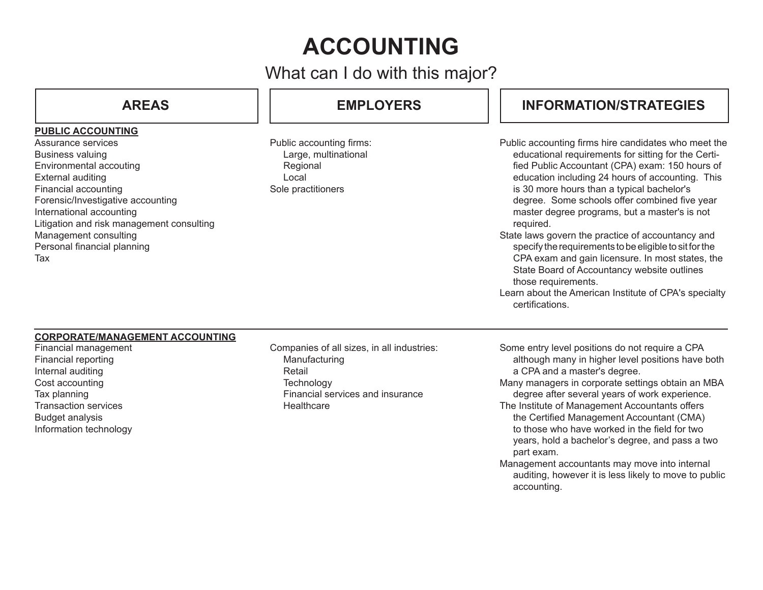# **ACCOUNTING**

What can I do with this major?

### **PUBLIC ACCOUNTING**

Assurance services Business valuing Environmental accouting External auditing Financial accounting Forensic/Investigative accounting International accounting Litigation and risk management consulting Management consulting Personal financial planning Tax

# **AREAS EMPLOYERS**

Public accounting firms: Large, multinational **Regional** Local Sole practitioners

# **INFORMATION/STRATEGIES**

- Public accounting firms hire candidates who meet the educational requirements for sitting for the Certified Public Accountant (CPA) exam: 150 hours of education including 24 hours of accounting. This is 30 more hours than a typical bachelor's degree. Some schools offer combined five year master degree programs, but a master's is not required.
- State laws govern the practice of accountancy and specify the requirements to be eligible to sit for the CPA exam and gain licensure. In most states, the State Board of Accountancy website outlines those requirements.
- Learn about the American Institute of CPA's specialty certifications.

#### **CORPORATE/MANAGEMENT ACCOUNTING**

Financial management Financial reporting Internal auditing Cost accounting Tax planning Transaction services Budget analysis Information technology

Companies of all sizes, in all industries: Manufacturing Retail **Technology** Financial services and insurance **Healthcare** 

- Some entry level positions do not require a CPA although many in higher level positions have both a CPA and a master's degree.
- Many managers in corporate settings obtain an MBA degree after several years of work experience.
- The Institute of Management Accountants offers the Certified Management Accountant (CMA) to those who have worked in the field for two years, hold a bachelor's degree, and pass a two part exam.
- Management accountants may move into internal auditing, however it is less likely to move to public accounting.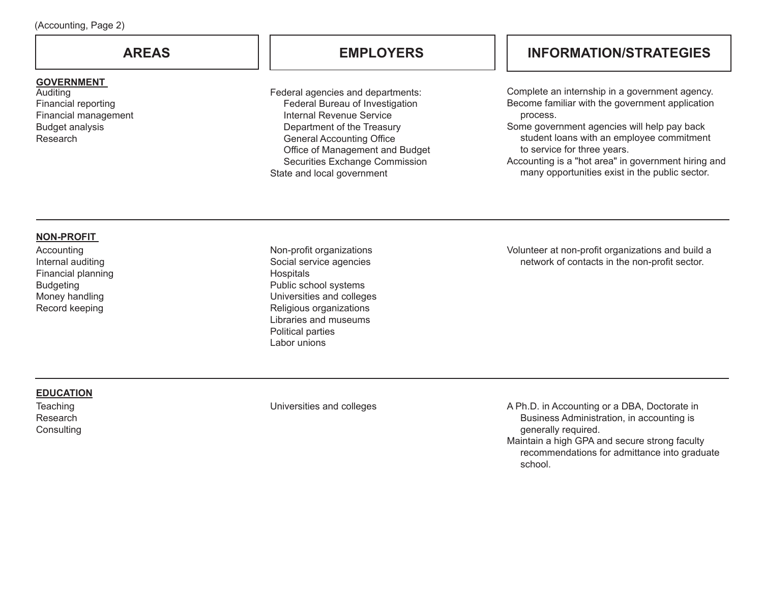#### **GOVERNMENT**

Auditing Financial reporting Financial management Budget analysis Research

Federal agencies and departments: Federal Bureau of Investigation Internal Revenue Service Department of the Treasury General Accounting Office Office of Management and Budget Securities Exchange Commission State and local government

## **AREAS EMPLOYERS INFORMATION/STRATEGIES**

Complete an internship in a government agency. Become familiar with the government application process.

Some government agencies will help pay back student loans with an employee commitment to service for three years.

Accounting is a "hot area" in government hiring and many opportunities exist in the public sector.

#### **NON-PROFIT**

Accounting Internal auditing Financial planning Budgeting Money handling Record keeping

Non-profit organizations Social service agencies Hospitals Public school systems Universities and colleges Religious organizations Libraries and museums Political parties Labor unions

Volunteer at non-profit organizations and build a network of contacts in the non-profit sector.

### **EDUCATION**

**Teaching** Research **Consulting** 

Universities and colleges A Ph.D. in Accounting or a DBA, Doctorate in Business Administration, in accounting is generally required. Maintain a high GPA and secure strong faculty

recommendations for admittance into graduate school.